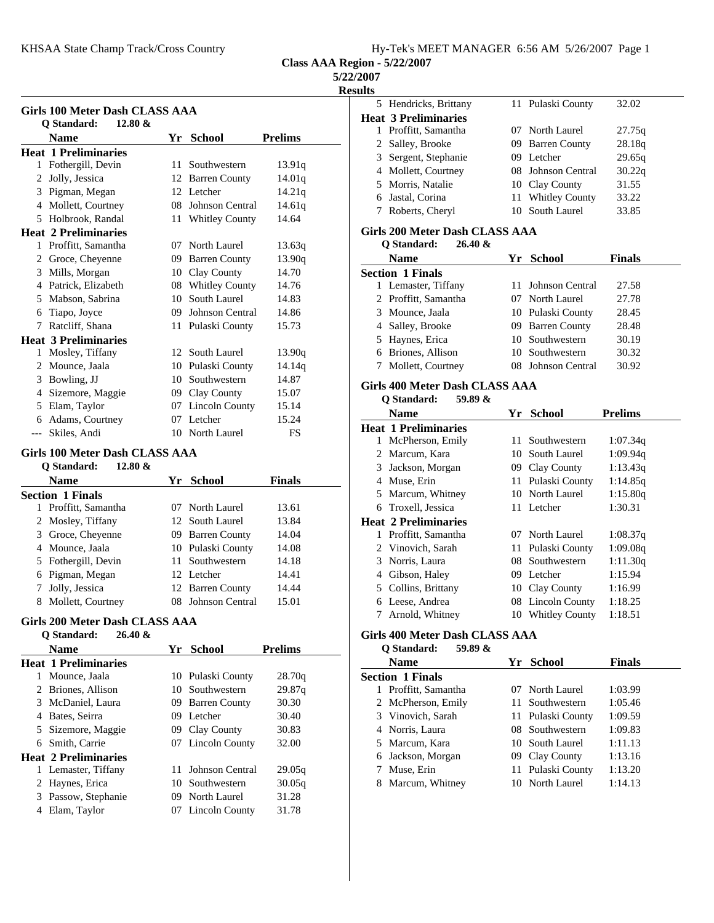| Hy-Tek's MEET MANAGER 6:56 AM 5/26/2007 Page 1 |
|------------------------------------------------|
|------------------------------------------------|

#### **5/22/2007**

**Results**

| Girls 100 Meter Dash CLASS AAA |                             |     |                       |                |  |  |  |
|--------------------------------|-----------------------------|-----|-----------------------|----------------|--|--|--|
|                                | Q Standard:<br>$12.80 \&$   |     |                       |                |  |  |  |
|                                | <b>Name</b>                 | Yr  | <b>School</b>         | <b>Prelims</b> |  |  |  |
|                                | <b>Heat 1 Preliminaries</b> |     |                       |                |  |  |  |
| 1                              | Fothergill, Devin           | 11  | Southwestern          | 13.91q         |  |  |  |
| 2                              | Jolly, Jessica              | 12  | <b>Barren County</b>  | 14.01q         |  |  |  |
| 3                              | Pigman, Megan               | 12. | <b>Letcher</b>        | 14.21q         |  |  |  |
| 4                              | Mollett, Courtney           | 08  | Johnson Central       | 14.61q         |  |  |  |
| 5                              | Holbrook, Randal            | 11- | <b>Whitley County</b> | 14.64          |  |  |  |
|                                | <b>Heat 2 Preliminaries</b> |     |                       |                |  |  |  |
| 1                              | Proffitt, Samantha          | 07  | North Laurel          | 13.63q         |  |  |  |
| 2                              | Groce, Cheyenne             | 09. | <b>Barren County</b>  | 13.90q         |  |  |  |
| 3                              | Mills, Morgan               | 10  | Clay County           | 14.70          |  |  |  |
| 4                              | Patrick, Elizabeth          |     | 08 Whitley County     | 14.76          |  |  |  |
| 5                              | Mabson, Sabrina             | 10  | South Laurel          | 14.83          |  |  |  |
| 6                              | Tiapo, Joyce                | 09  | Johnson Central       | 14.86          |  |  |  |
| 7                              | Ratcliff, Shana             | 11  | Pulaski County        | 15.73          |  |  |  |
|                                | <b>Heat 3 Preliminaries</b> |     |                       |                |  |  |  |
| 1                              | Mosley, Tiffany             | 12  | South Laurel          | 13.90q         |  |  |  |
| 2                              | Mounce, Jaala               | 10  | Pulaski County        | 14.14q         |  |  |  |
| 3                              | Bowling, JJ                 | 10  | Southwestern          | 14.87          |  |  |  |
| 4                              | Sizemore, Maggie            | 09  | Clay County           | 15.07          |  |  |  |
| 5                              | Elam, Taylor                | 07  | <b>Lincoln County</b> | 15.14          |  |  |  |
| 6                              | Adams, Courtney             | 07  | Letcher               | 15.24          |  |  |  |
| $---$                          | Skiles, Andi                | 10  | North Laurel          | FS             |  |  |  |

#### **Girls 100 Meter Dash CLASS AAA**

#### **Q Standard: 12.80 &**

|   | <b>Name</b>             | Yr School          | <b>Finals</b> |  |
|---|-------------------------|--------------------|---------------|--|
|   | <b>Section 1 Finals</b> |                    |               |  |
|   | Proffitt, Samantha      | 07 North Laurel    | 13.61         |  |
|   | 2 Mosley, Tiffany       | 12 South Laurel    | 13.84         |  |
|   | 3 Groce, Cheyenne       | 09 Barren County   | 14.04         |  |
|   | 4 Mounce, Jaala         | 10 Pulaski County  | 14.08         |  |
|   | 5 Fothergill, Devin     | 11 Southwestern    | 14.18         |  |
|   | 6 Pigman, Megan         | 12 Letcher         | 14.41         |  |
|   | 7 Jolly, Jessica        | 12 Barren County   | 14.44         |  |
| 8 | Mollett, Courtney       | 08 Johnson Central | 15.01         |  |

#### **Girls 200 Meter Dash CLASS AAA Q Standard: 26.40 &**

|   | v bianuai u.<br>$\boldsymbol{\omega}$ . TV $\boldsymbol{\alpha}$ |     |                   |                |
|---|------------------------------------------------------------------|-----|-------------------|----------------|
|   | <b>Name</b>                                                      |     | Yr School         | <b>Prelims</b> |
|   | <b>Heat 1 Preliminaries</b>                                      |     |                   |                |
|   | Mounce, Jaala                                                    |     | 10 Pulaski County | 28.70q         |
|   | 2 Briones, Allison                                               |     | 10 Southwestern   | 29.87q         |
| 3 | McDaniel, Laura                                                  |     | 09 Barren County  | 30.30          |
| 4 | Bates, Seirra                                                    |     | 09 Letcher        | 30.40          |
|   | 5 Sizemore, Maggie                                               |     | 09 Clay County    | 30.83          |
| 6 | Smith, Carrie                                                    |     | 07 Lincoln County | 32.00          |
|   | <b>Heat 2 Preliminaries</b>                                      |     |                   |                |
| 1 | Lemaster, Tiffany                                                | 11. | Johnson Central   | 29.05q         |
| 2 | Haynes, Erica                                                    |     | 10 Southwestern   | 30.05q         |
| 3 | Passow, Stephanie                                                |     | 09 North Laurel   | 31.28          |
| 4 | Elam, Taylor                                                     |     | 07 Lincoln County | 31.78          |
|   |                                                                  |     |                   |                |

| IILS |                             |                    |        |
|------|-----------------------------|--------------------|--------|
|      | 5 Hendricks, Brittany       | 11 Pulaski County  | 32.02  |
|      | <b>Heat 3 Preliminaries</b> |                    |        |
|      | 1 Proffitt, Samantha        | 07 North Laurel    | 27.75g |
|      | 2 Salley, Brooke            | 09 Barren County   | 28.18q |
|      | 3 Sergent, Stephanie        | 09 Letcher         | 29.65q |
|      | 4 Mollett, Courtney         | 08 Johnson Central | 30.22q |
|      | 5 Morris, Natalie           | 10 Clay County     | 31.55  |
|      | 6 Jastal, Corina            | 11 Whitley County  | 33.22  |
|      | Roberts, Cheryl             | 10 South Laurel    | 33.85  |
|      |                             |                    |        |

#### **Girls 200 Meter Dash CLASS AAA Q Standard: 26.40 &**

| O Dianual u.<br>40. TV X |                         |                    |               |  |
|--------------------------|-------------------------|--------------------|---------------|--|
|                          | <b>Name</b>             | Yr School          | <b>Finals</b> |  |
|                          | <b>Section 1 Finals</b> |                    |               |  |
|                          | 1 Lemaster, Tiffany     | 11 Johnson Central | 27.58         |  |
|                          | 2 Proffitt, Samantha    | 07 North Laurel    | 27.78         |  |
|                          | 3 Mounce, Jaala         | 10 Pulaski County  | 28.45         |  |
|                          | 4 Salley, Brooke        | 09 Barren County   | 28.48         |  |
|                          | 5 Haynes, Erica         | 10 Southwestern    | 30.19         |  |
|                          | 6 Briones, Allison      | 10 Southwestern    | 30.32         |  |
|                          | 7 Mollett, Courtney     | 08 Johnson Central | 30.92         |  |

# **Girls 400 Meter Dash CLASS AAA**

# **Q Standard: 59.89 &**

|    | Name                        | Yr. | School            | <b>Prelims</b> |
|----|-----------------------------|-----|-------------------|----------------|
|    | <b>Heat 1 Preliminaries</b> |     |                   |                |
| 1  | McPherson, Emily            |     | 11 Southwestern   | 1:07.34q       |
|    | 2 Marcum, Kara              | 10. | South Laurel      | 1:09.94q       |
| 3  | Jackson, Morgan             |     | 09 Clay County    | 1:13.43q       |
| 4  | Muse, Erin                  |     | 11 Pulaski County | 1:14.85q       |
|    | 5 Marcum, Whitney           |     | 10 North Laurel   | 1:15.80q       |
| 6. | Troxell, Jessica            |     | 11 Letcher        | 1:30.31        |
|    | <b>Heat 2 Preliminaries</b> |     |                   |                |
| 1  | Proffitt, Samantha          | 07  | North Laurel      | 1:08.37q       |
|    | 2 Vinovich, Sarah           |     | 11 Pulaski County | 1:09.08q       |
| 3  | Norris, Laura               |     | 08 Southwestern   | 1:11.30q       |
| 4  | Gibson, Haley               |     | 09 Letcher        | 1:15.94        |
| 5  | Collins, Brittany           |     | 10 Clay County    | 1:16.99        |
| 6  | Leese, Andrea               |     | 08 Lincoln County | 1:18.25        |
|    | Arnold, Whitney             |     | 10 Whitley County | 1:18.51        |

# **Girls 400 Meter Dash CLASS AAA**

# **Q Standard: 59.89 &**

| Yr School<br><b>Name</b> |  |                   | <b>Finals</b> |
|--------------------------|--|-------------------|---------------|
| <b>Section 1 Finals</b>  |  |                   |               |
| Proffitt, Samantha<br>1  |  | North Laurel      | 1:03.99       |
| 2 McPherson, Emily       |  | 11 Southwestern   | 1:05.46       |
| 3 Vinovich, Sarah        |  | 11 Pulaski County | 1:09.59       |
| 4 Norris, Laura          |  | 08 Southwestern   | 1:09.83       |
| 5 Marcum, Kara           |  | 10 South Laurel   | 1:11.13       |
| 6 Jackson, Morgan        |  | 09 Clay County    | 1:13.16       |
| Muse, Erin               |  | 11 Pulaski County | 1:13.20       |
| Marcum, Whitney          |  | 10 North Laurel   | 1:14.13       |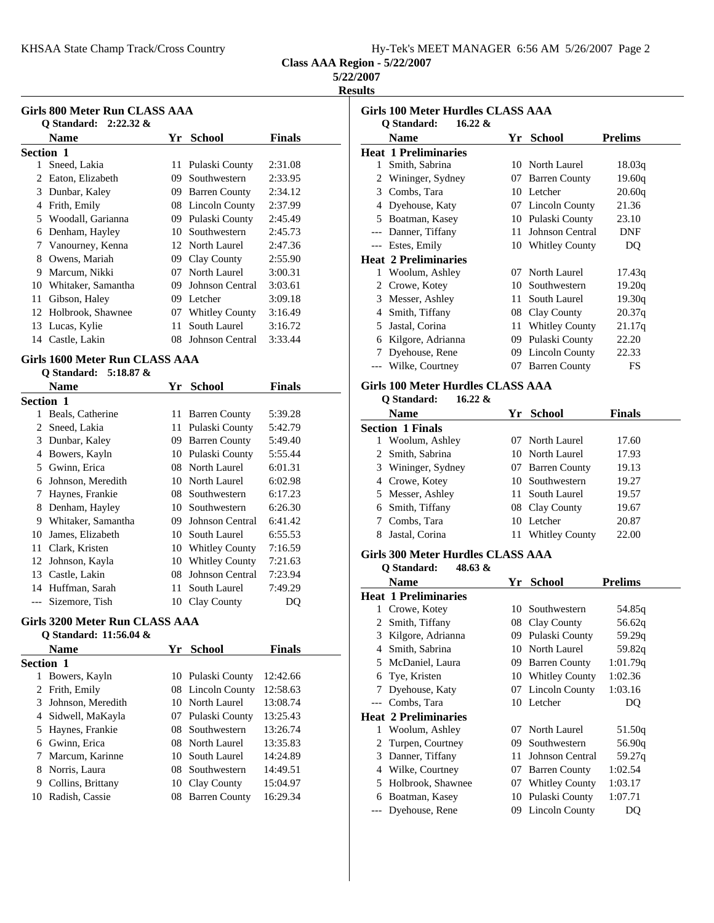|  | Hy-Tek's MEET MANAGER 6:56 AM 5/26/2007 Page 2 |  |  |
|--|------------------------------------------------|--|--|
|  |                                                |  |  |

**5/22/2007**

#### **Results**

| Girls 800 Meter Run CLASS AAA |                          |     |                        |               |  |  |  |
|-------------------------------|--------------------------|-----|------------------------|---------------|--|--|--|
|                               | O Standard: $2:22.32 \&$ |     |                        |               |  |  |  |
|                               | Name                     | Yr  | <b>School</b>          | <b>Finals</b> |  |  |  |
| <b>Section 1</b>              |                          |     |                        |               |  |  |  |
| 1                             | Sneed, Lakia             | 11  | Pulaski County         | 2:31.08       |  |  |  |
| 2                             | Eaton, Elizabeth         | 09  | Southwestern           | 2:33.95       |  |  |  |
| 3                             | Dunbar, Kaley            | 09  | <b>Barren County</b>   | 2:34.12       |  |  |  |
| 4                             | Frith, Emily             |     | 08 Lincoln County      | 2:37.99       |  |  |  |
| 5                             | Woodall, Garianna        | 09  | Pulaski County         | 2:45.49       |  |  |  |
| 6                             | Denham, Hayley           | 10. | Southwestern           | 2:45.73       |  |  |  |
| 7                             | Vanourney, Kenna         |     | 12 North Laurel        | 2:47.36       |  |  |  |
| 8                             | Owens, Mariah            | 09  | Clay County            | 2:55.90       |  |  |  |
| 9                             | Marcum, Nikki            | 07  | North Laurel           | 3:00.31       |  |  |  |
| 10                            | Whitaker, Samantha       | 09  | <b>Johnson Central</b> | 3:03.61       |  |  |  |
| 11                            | Gibson, Haley            | 09  | Letcher                | 3:09.18       |  |  |  |
| 12                            | Holbrook, Shawnee        | 07  | <b>Whitley County</b>  | 3:16.49       |  |  |  |
| 13                            | Lucas, Kylie             | 11  | South Laurel           | 3:16.72       |  |  |  |
| 14                            | Castle, Lakin            | 08  | Johnson Central        | 3:33.44       |  |  |  |

#### **Girls 1600 Meter Run CLASS AAA**

|           | Q Standard: 5:18.87 & |    |                       |               |
|-----------|-----------------------|----|-----------------------|---------------|
|           | <b>Name</b>           | Yr | <b>School</b>         | <b>Finals</b> |
| Section 1 |                       |    |                       |               |
| 1         | Beals, Catherine      | 11 | <b>Barren County</b>  | 5:39.28       |
| 2         | Sneed, Lakia          | 11 | Pulaski County        | 5:42.79       |
| 3         | Dunbar, Kaley         | 09 | <b>Barren County</b>  | 5:49.40       |
| 4         | Bowers, Kayln         | 10 | Pulaski County        | 5:55.44       |
| 5         | Gwinn, Erica          | 08 | North Laurel          | 6:01.31       |
| 6         | Johnson, Meredith     | 10 | North Laurel          | 6:02.98       |
| 7         | Haynes, Frankie       | 08 | Southwestern          | 6:17.23       |
| 8         | Denham, Hayley        | 10 | Southwestern          | 6:26.30       |
| 9         | Whitaker, Samantha    | 09 | Johnson Central       | 6:41.42       |
| 10        | James, Elizabeth      | 10 | South Laurel          | 6:55.53       |
| 11        | Clark, Kristen        | 10 | <b>Whitley County</b> | 7:16.59       |
| 12        | Johnson, Kayla        | 10 | <b>Whitley County</b> | 7:21.63       |
| 13        | Castle, Lakin         | 08 | Johnson Central       | 7:23.94       |
| 14        | Huffman, Sarah        | 11 | South Laurel          | 7:49.29       |
|           | Sizemore, Tish        | 10 | Clay County           | DQ            |

#### **Girls 3200 Meter Run CLASS AAA**

|                  | Q Standard: 11:56.04 & |    |                   |               |
|------------------|------------------------|----|-------------------|---------------|
|                  | <b>Name</b>            | Yr | <b>School</b>     | <b>Finals</b> |
| <b>Section 1</b> |                        |    |                   |               |
|                  | Bowers, Kayln          |    | 10 Pulaski County | 12:42.66      |
|                  | 2 Frith, Emily         |    | 08 Lincoln County | 12:58.63      |
|                  | Johnson, Meredith      |    | 10 North Laurel   | 13:08.74      |
| 4                | Sidwell, MaKayla       |    | 07 Pulaski County | 13:25.43      |
|                  | 5 Haynes, Frankie      |    | 08 Southwestern   | 13:26.74      |
|                  | 6 Gwinn, Erica         |    | 08 North Laurel   | 13:35.83      |
|                  | Marcum, Karinne        |    | 10 South Laurel   | 14:24.89      |
| 8.               | Norris, Laura          |    | 08 Southwestern   | 14:49.51      |
| 9                | Collins, Brittany      | 10 | Clay County       | 15:04.97      |
| 10               | Radish, Cassie         |    | 08 Barren County  | 16:29.34      |

| Girls 100 Meter Hurdles CLASS AAA<br>$16.22 \&$ |                             |     |                       |                |  |  |  |
|-------------------------------------------------|-----------------------------|-----|-----------------------|----------------|--|--|--|
|                                                 | Q Standard:<br><b>Name</b>  | Yr. | <b>School</b>         | <b>Prelims</b> |  |  |  |
|                                                 | <b>Heat 1 Preliminaries</b> |     |                       |                |  |  |  |
| 1                                               | Smith, Sabrina              |     | 10 North Laurel       | 18.03q         |  |  |  |
| 2                                               | Wininger, Sydney            | 07. | <b>Barren County</b>  | 19.60g         |  |  |  |
| 3                                               | Combs, Tara                 |     | 10 Letcher            | 20.60q         |  |  |  |
| 4                                               | Dyehouse, Katy              |     | 07 Lincoln County     | 21.36          |  |  |  |
| 5                                               | Boatman, Kasey              |     | 10 Pulaski County     | 23.10          |  |  |  |
| $---$                                           | Danner, Tiffany             | 11. | Johnson Central       | <b>DNF</b>     |  |  |  |
|                                                 | --- Estes, Emily            |     | 10 Whitley County     | DQ             |  |  |  |
|                                                 | <b>Heat 2 Preliminaries</b> |     |                       |                |  |  |  |
| 1                                               | Woolum, Ashley              | 07  | North Laurel          | 17.43q         |  |  |  |
| 2                                               | Crowe, Kotey                | 10  | Southwestern          | 19.20q         |  |  |  |
| 3                                               | Messer, Ashley              | 11  | South Laurel          | 19.30q         |  |  |  |
| 4                                               | Smith, Tiffany              | 08  | Clay County           | 20.37q         |  |  |  |
| 5                                               | Jastal, Corina              | 11  | <b>Whitley County</b> | 21.17q         |  |  |  |
| 6                                               | Kilgore, Adrianna           | 09  | Pulaski County        | 22.20          |  |  |  |
| 7                                               | Dyehouse, Rene              | 09. | <b>Lincoln County</b> | 22.33          |  |  |  |
|                                                 | Wilke, Courtney             | 07  | <b>Barren County</b>  | <b>FS</b>      |  |  |  |
|                                                 |                             |     |                       |                |  |  |  |

# **Girls 100 Meter Hurdles CLASS AAA**

# **Q Standard: 16.22 &**

| Name                    | Yr | School                | Finals |
|-------------------------|----|-----------------------|--------|
| <b>Section 1 Finals</b> |    |                       |        |
| Woolum, Ashley          |    | 07 North Laurel       | 17.60  |
| 2 Smith, Sabrina        |    | 10 North Laurel       | 17.93  |
| 3 Wininger, Sydney      |    | 07 Barren County      | 19.13  |
| 4 Crowe, Kotey          |    | 10 Southwestern       | 19.27  |
| 5 Messer, Ashley        |    | 11 South Laurel       | 19.57  |
| 6 Smith, Tiffany        |    | 08 Clay County        | 19.67  |
| Combs, Tara             |    | 10 Letcher            | 20.87  |
| Jastal, Corina          |    | <b>Whitley County</b> | 22.00  |

### **Girls 300 Meter Hurdles CLASS AAA**

|       | O Standard:<br>48.63 &      |     |                       |                |
|-------|-----------------------------|-----|-----------------------|----------------|
|       | <b>Name</b>                 | Yr  | School                | <b>Prelims</b> |
|       | <b>Heat 1 Preliminaries</b> |     |                       |                |
| 1     | Crowe, Kotey                |     | 10 Southwestern       | 54.85g         |
| 2     | Smith, Tiffany              |     | 08 Clay County        | 56.62q         |
| 3     | Kilgore, Adrianna           |     | 09 Pulaski County     | 59.29q         |
| 4     | Smith, Sabrina              |     | 10 North Laurel       | 59.82q         |
| 5     | McDaniel, Laura             |     | 09 Barren County      | 1:01.79q       |
| 6     | Tye, Kristen                |     | 10 Whitley County     | 1:02.36        |
| 7     | Dyehouse, Katy              |     | 07 Lincoln County     | 1:03.16        |
| $---$ | Combs, Tara                 |     | 10 Letcher            | DQ             |
|       | <b>Heat 2 Preliminaries</b> |     |                       |                |
| 1     | Woolum, Ashley              | 07  | North Laurel          | 51.50q         |
| 2     | Turpen, Courtney            | 09. | Southwestern          | 56.90q         |
| 3     | Danner, Tiffany             | 11  | Johnson Central       | 59.27q         |
| 4     | Wilke, Courtney             | 07  | <b>Barren County</b>  | 1:02.54        |
| 5     | Holbrook, Shawnee           | 07  | <b>Whitley County</b> | 1:03.17        |
| 6     | Boatman, Kasey              |     | 10 Pulaski County     | 1:07.71        |
|       | Dyehouse, Rene              |     | 09 Lincoln County     | DO             |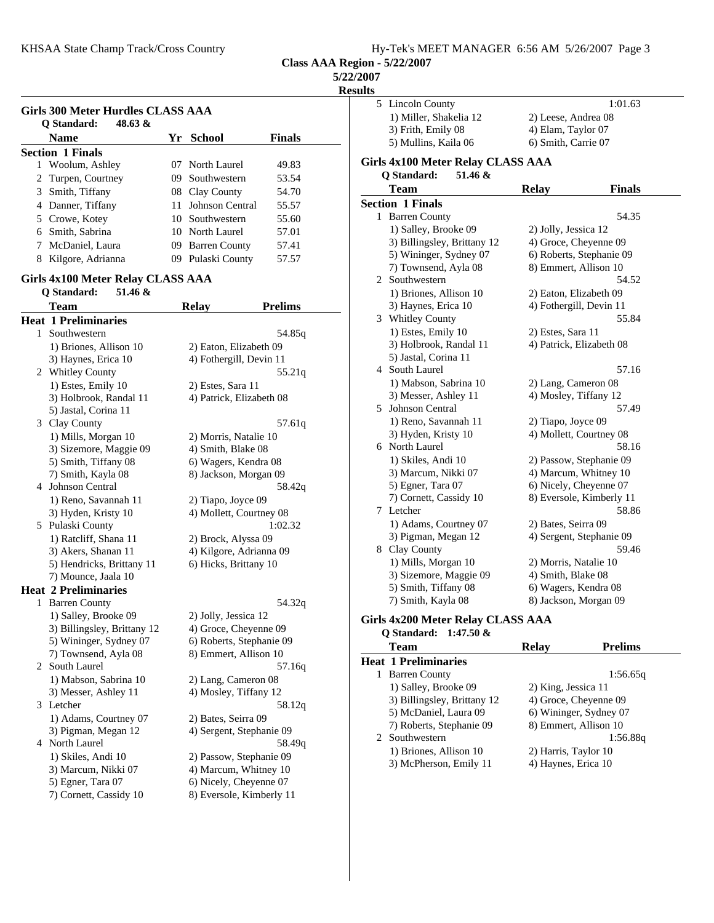|  | Hy-Tek's MEET MANAGER 6:56 AM 5/26/2007 Page 3 |  |  |
|--|------------------------------------------------|--|--|
|  |                                                |  |  |

#### **5/22/2007**

**Results**

|   | <b>Girls 300 Meter Hurdles CLASS AAA</b><br>$48.63 \&$<br>Q Standard: |    |                                               |                |
|---|-----------------------------------------------------------------------|----|-----------------------------------------------|----------------|
|   | Name                                                                  | Yr | <b>School</b>                                 | Finals         |
|   | <b>Section 1 Finals</b>                                               |    |                                               |                |
|   | 1 Woolum, Ashley                                                      |    | 07 North Laurel                               | 49.83          |
|   | 2 Turpen, Courtney                                                    |    | 09 Southwestern                               | 53.54          |
|   | 3 Smith, Tiffany                                                      |    | 08 Clay County                                | 54.70          |
|   | 4 Danner, Tiffany                                                     |    | 11 Johnson Central                            | 55.57          |
|   | 5 Crowe, Kotey                                                        |    | 10 Southwestern                               | 55.60          |
|   | 6 Smith, Sabrina                                                      |    | 10 North Laurel                               | 57.01          |
|   | 7 McDaniel, Laura                                                     |    | 09 Barren County                              | 57.41          |
|   | 8 Kilgore, Adrianna                                                   |    | 09 Pulaski County                             | 57.57          |
|   | Girls 4x100 Meter Relay CLASS AAA                                     |    |                                               |                |
|   | Q Standard:<br>51.46 &                                                |    |                                               |                |
|   | Team                                                                  |    | <b>Relay</b>                                  | <b>Prelims</b> |
|   | <b>Heat 1 Preliminaries</b>                                           |    |                                               |                |
|   | 1 Southwestern                                                        |    |                                               | 54.85g         |
|   | 1) Briones, Allison 10                                                |    | 2) Eaton, Elizabeth 09                        |                |
|   | 3) Haynes, Erica 10                                                   |    | 4) Fothergill, Devin 11                       |                |
|   | 2 Whitley County                                                      |    |                                               | 55.21q         |
|   | 1) Estes, Emily 10<br>3) Holbrook, Randal 11                          |    | 2) Estes, Sara 11<br>4) Patrick, Elizabeth 08 |                |
|   | 5) Jastal, Corina 11                                                  |    |                                               |                |
|   | 3 Clay County                                                         |    |                                               | 57.61q         |
|   | 1) Mills, Morgan 10                                                   |    | 2) Morris, Natalie 10                         |                |
|   | 3) Sizemore, Maggie 09                                                |    | 4) Smith, Blake 08                            |                |
|   | 5) Smith, Tiffany 08                                                  |    | 6) Wagers, Kendra 08                          |                |
|   | 7) Smith, Kayla 08                                                    |    | 8) Jackson, Morgan 09                         |                |
|   | 4 Johnson Central                                                     |    |                                               | 58.42q         |
|   | 1) Reno, Savannah 11                                                  |    | 2) Tiapo, Joyce 09                            |                |
|   | 3) Hyden, Kristy 10                                                   |    | 4) Mollett, Courtney 08                       |                |
|   | 5 Pulaski County                                                      |    |                                               | 1:02.32        |
|   | 1) Ratcliff, Shana 11                                                 |    | 2) Brock, Alyssa 09                           |                |
|   | 3) Akers, Shanan 11                                                   |    | 4) Kilgore, Adrianna 09                       |                |
|   | 5) Hendricks, Brittany 11                                             |    | 6) Hicks, Brittany 10                         |                |
|   | 7) Mounce, Jaala 10                                                   |    |                                               |                |
|   | <b>Heat 2 Preliminaries</b>                                           |    |                                               |                |
| 1 | <b>Barren County</b>                                                  |    |                                               | 54.32q         |
|   | 1) Salley, Brooke 09                                                  |    | 2) Jolly, Jessica 12                          |                |
|   | 3) Billingsley, Brittany 12                                           |    | 4) Groce, Cheyenne 09                         |                |
|   | 5) Wininger, Sydney 07                                                |    | 6) Roberts, Stephanie 09                      |                |
|   | 7) Townsend, Ayla 08                                                  |    | 8) Emmert, Allison 10                         |                |
| 2 | South Laurel                                                          |    |                                               | 57.16q         |
|   | 1) Mabson, Sabrina 10                                                 |    | 2) Lang, Cameron 08                           |                |
|   | 3) Messer, Ashley 11                                                  |    | 4) Mosley, Tiffany 12                         |                |
|   | 3 Letcher                                                             |    |                                               | 58.12g         |
|   | 1) Adams, Courtney 07                                                 |    | 2) Bates, Seirra 09                           |                |
|   | 3) Pigman, Megan 12                                                   |    | 4) Sergent, Stephanie 09                      |                |
|   | 4 North Laurel                                                        |    |                                               | 58.49q         |
|   | 1) Skiles, Andi 10                                                    |    | 2) Passow, Stephanie 09                       |                |
|   | 3) Marcum, Nikki 07                                                   |    | 4) Marcum, Whitney 10                         |                |
|   | 5) Egner, Tara 07                                                     |    | 6) Nicely, Cheyenne 07                        |                |
|   | 7) Cornett, Cassidy 10                                                |    | 8) Eversole, Kimberly 11                      |                |

| 5 | Lincoln County                           |                          | 1:01.63        |  |
|---|------------------------------------------|--------------------------|----------------|--|
|   | 1) Miller, Shakelia 12                   | 2) Leese, Andrea 08      |                |  |
|   | 3) Frith, Emily 08                       | 4) Elam, Taylor 07       |                |  |
|   | 5) Mullins, Kaila 06                     | 6) Smith, Carrie 07      |                |  |
|   |                                          |                          |                |  |
|   | <b>Girls 4x100 Meter Relay CLASS AAA</b> |                          |                |  |
|   | Q Standard:<br>51.46 &                   |                          |                |  |
|   | <b>Team</b>                              | <b>Relay</b>             | <b>Finals</b>  |  |
|   | <b>Section 1 Finals</b>                  |                          |                |  |
|   | 1 Barren County                          |                          | 54.35          |  |
|   | 1) Salley, Brooke 09                     | 2) Jolly, Jessica 12     |                |  |
|   | 3) Billingsley, Brittany 12              | 4) Groce, Cheyenne 09    |                |  |
|   | 5) Wininger, Sydney 07                   | 6) Roberts, Stephanie 09 |                |  |
|   | 7) Townsend, Ayla 08                     | 8) Emmert, Allison 10    |                |  |
|   | 2 Southwestern                           |                          | 54.52          |  |
|   | 1) Briones, Allison 10                   | 2) Eaton, Elizabeth 09   |                |  |
|   | 3) Haynes, Erica 10                      | 4) Fothergill, Devin 11  |                |  |
|   | 3 Whitley County                         |                          | 55.84          |  |
|   | 1) Estes, Emily 10                       | 2) Estes, Sara 11        |                |  |
|   | 3) Holbrook, Randal 11                   | 4) Patrick, Elizabeth 08 |                |  |
|   | 5) Jastal, Corina 11                     |                          |                |  |
|   | 4 South Laurel                           |                          | 57.16          |  |
|   | 1) Mabson, Sabrina 10                    | 2) Lang, Cameron 08      |                |  |
|   | 3) Messer, Ashley 11                     | 4) Mosley, Tiffany 12    |                |  |
| 5 | Johnson Central                          |                          | 57.49          |  |
|   | 1) Reno, Savannah 11                     | 2) Tiapo, Joyce 09       |                |  |
|   | 3) Hyden, Kristy 10                      | 4) Mollett, Courtney 08  |                |  |
|   | 6 North Laurel                           |                          | 58.16          |  |
|   | 1) Skiles, Andi 10                       | 2) Passow, Stephanie 09  |                |  |
|   | 3) Marcum, Nikki 07                      | 4) Marcum, Whitney 10    |                |  |
|   | 5) Egner, Tara 07                        | 6) Nicely, Cheyenne 07   |                |  |
|   | 7) Cornett, Cassidy 10                   | 8) Eversole, Kimberly 11 |                |  |
| 7 | Letcher                                  |                          | 58.86          |  |
|   | 1) Adams, Courtney 07                    | 2) Bates, Seirra 09      |                |  |
|   | 3) Pigman, Megan 12                      | 4) Sergent, Stephanie 09 |                |  |
|   | 8 Clay County                            |                          | 59.46          |  |
|   | 1) Mills, Morgan 10                      | 2) Morris, Natalie 10    |                |  |
|   | 3) Sizemore, Maggie 09                   | 4) Smith, Blake 08       |                |  |
|   | 5) Smith, Tiffany 08                     | 6) Wagers, Kendra 08     |                |  |
|   | 7) Smith, Kayla 08                       | 8) Jackson, Morgan 09    |                |  |
|   | Girls 4x200 Meter Relay CLASS AAA        |                          |                |  |
|   | Q Standard:<br>$1:47.50 \&$              |                          |                |  |
|   | Team                                     | <b>Relay</b>             | <b>Prelims</b> |  |
|   | <b>Heat 1 Preliminaries</b>              |                          |                |  |
|   | 1 Barren County                          |                          | 1:56.65q       |  |
|   | 1) Salley, Brooke 09                     | 2) King, Jessica 11      |                |  |
|   | 3) Billingsley, Brittany 12              | 4) Groce, Cheyenne 09    |                |  |
|   | 5) McDaniel, Laura 09                    | 6) Wininger, Sydney 07   |                |  |
|   | 7) Roberts, Stephanie 09                 | 8) Emmert, Allison 10    |                |  |
| 2 | Southwestern                             |                          | 1:56.88q       |  |

1) Briones, Allison 10 2) Harris, Taylor 10<br>3) McPherson, Emily 11 4) Haynes, Erica 10 3) McPherson, Emily 11

# 2 Southwestern 1<br>1) Briones, Allison 10 2) Harris, Taylor 10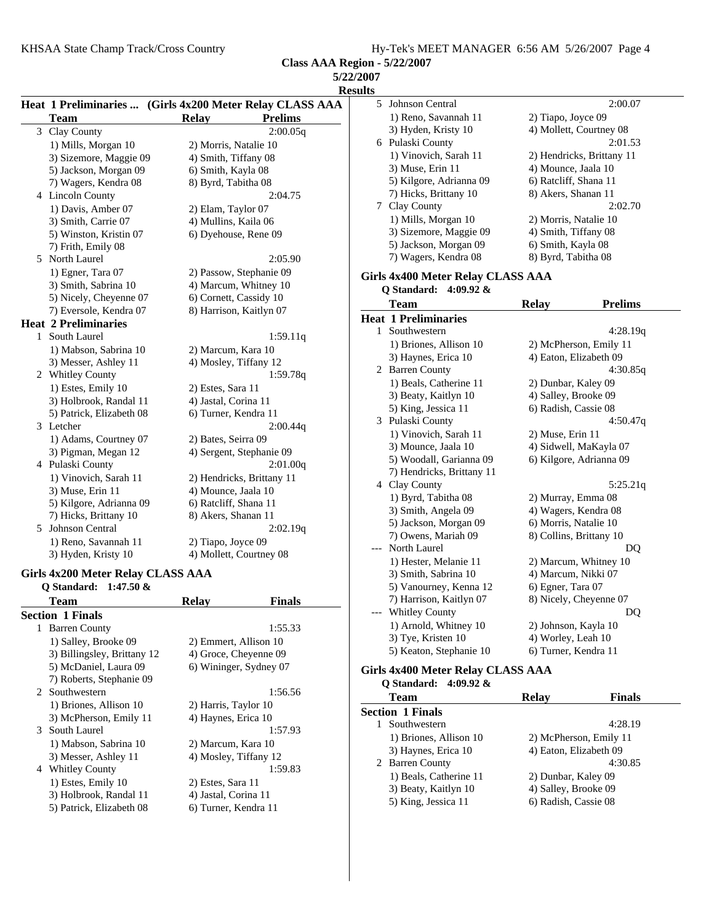| 5/22/2007      |
|----------------|
| <b>Results</b> |

|   |                             | Heat 1 Preliminaries  (Girls 4x200 Meter Relay CLASS AAA |
|---|-----------------------------|----------------------------------------------------------|
|   | Team                        | <b>Prelims</b><br><b>Relay</b>                           |
| 3 | Clay County                 | 2:00.05q                                                 |
|   | 1) Mills, Morgan 10         | 2) Morris, Natalie 10                                    |
|   | 3) Sizemore, Maggie 09      | 4) Smith, Tiffany 08                                     |
|   | 5) Jackson, Morgan 09       | 6) Smith, Kayla 08                                       |
|   | 7) Wagers, Kendra 08        | 8) Byrd, Tabitha 08                                      |
|   | 4 Lincoln County            | 2:04.75                                                  |
|   | 1) Davis, Amber 07          | 2) Elam, Taylor 07                                       |
|   | 3) Smith, Carrie 07         | 4) Mullins, Kaila 06                                     |
|   | 5) Winston, Kristin 07      | 6) Dyehouse, Rene 09                                     |
|   | 7) Frith, Emily 08          |                                                          |
| 5 | North Laurel                | 2:05.90                                                  |
|   | 1) Egner, Tara 07           | 2) Passow, Stephanie 09                                  |
|   | 3) Smith, Sabrina 10        | 4) Marcum, Whitney 10                                    |
|   | 5) Nicely, Cheyenne 07      | 6) Cornett, Cassidy 10                                   |
|   | 7) Eversole, Kendra 07      | 8) Harrison, Kaitlyn 07                                  |
|   | <b>Heat 2 Preliminaries</b> |                                                          |
| 1 | South Laurel                | 1:59.11q                                                 |
|   | 1) Mabson, Sabrina 10       | 2) Marcum, Kara 10                                       |
|   | 3) Messer, Ashley 11        | 4) Mosley, Tiffany 12                                    |
|   | 2 Whitley County            | 1:59.78q                                                 |
|   | 1) Estes, Emily 10          | 2) Estes, Sara 11                                        |
|   | 3) Holbrook, Randal 11      | 4) Jastal, Corina 11                                     |
|   | 5) Patrick, Elizabeth 08    | 6) Turner, Kendra 11                                     |
| 3 | Letcher                     | 2:00.44q                                                 |
|   | 1) Adams, Courtney 07       | 2) Bates, Seirra 09                                      |
|   | 3) Pigman, Megan 12         | 4) Sergent, Stephanie 09                                 |
|   | 4 Pulaski County            | 2:01.00q                                                 |
|   | 1) Vinovich, Sarah 11       | 2) Hendricks, Brittany 11                                |
|   | 3) Muse, Erin 11            | 4) Mounce, Jaala 10                                      |
|   | 5) Kilgore, Adrianna 09     | 6) Ratcliff, Shana 11                                    |
|   | 7) Hicks, Brittany 10       | 8) Akers, Shanan 11                                      |
| 5 | Johnson Central             | 2:02.19q                                                 |
|   | 1) Reno, Savannah 11        | 2) Tiapo, Joyce 09                                       |
|   | 3) Hyden, Kristy 10         | 4) Mollett, Courtney 08                                  |

#### **Girls 4x200 Meter Relay CLASS AAA Q Standard: 1:47.50 &**

| <b>Team</b>                 | <b>Relav</b>           | Finals  |
|-----------------------------|------------------------|---------|
| <b>Section 1 Finals</b>     |                        |         |
| <b>Barren County</b><br>1   |                        | 1:55.33 |
| 1) Salley, Brooke 09        | 2) Emmert, Allison 10  |         |
| 3) Billingsley, Brittany 12 | 4) Groce, Cheyenne 09  |         |
| 5) McDaniel, Laura 09       | 6) Wininger, Sydney 07 |         |
| 7) Roberts, Stephanie 09    |                        |         |
| 2 Southwestern              |                        | 1:56.56 |
| 1) Briones, Allison 10      | 2) Harris, Taylor 10   |         |
| 3) McPherson, Emily 11      | 4) Haynes, Erica 10    |         |
| South Laurel<br>3           |                        | 1:57.93 |
| 1) Mabson, Sabrina 10       | 2) Marcum, Kara 10     |         |
| 3) Messer, Ashley 11        | 4) Mosley, Tiffany 12  |         |
| <b>Whitley County</b><br>4  |                        | 1:59.83 |
| 1) Estes, Emily 10          | 2) Estes, Sara 11      |         |
| 3) Holbrook, Randal 11      | 4) Jastal, Corina 11   |         |
| 5) Patrick, Elizabeth 08    | 6) Turner, Kendra 11   |         |
|                             |                        |         |

| 11 L.Ə |                                      |                                |  |  |  |
|--------|--------------------------------------|--------------------------------|--|--|--|
| 5      | Johnson Central                      | 2:00.07                        |  |  |  |
|        | 1) Reno, Savannah 11                 | 2) Tiapo, Joyce 09             |  |  |  |
|        | 3) Hyden, Kristy 10                  | 4) Mollett, Courtney 08        |  |  |  |
| 6      | Pulaski County                       | 2:01.53                        |  |  |  |
|        | 1) Vinovich, Sarah 11                | 2) Hendricks, Brittany 11      |  |  |  |
|        | 3) Muse, Erin 11                     | 4) Mounce, Jaala 10            |  |  |  |
|        | 5) Kilgore, Adrianna 09              | 6) Ratcliff, Shana 11          |  |  |  |
|        | 7) Hicks, Brittany 10                | 8) Akers, Shanan 11            |  |  |  |
| 7      | Clay County                          | 2:02.70                        |  |  |  |
|        | 1) Mills, Morgan 10                  | 2) Morris, Natalie 10          |  |  |  |
|        | 3) Sizemore, Maggie 09               | 4) Smith, Tiffany 08           |  |  |  |
|        | 5) Jackson, Morgan 09                | 6) Smith, Kayla 08             |  |  |  |
|        | 7) Wagers, Kendra 08                 | 8) Byrd, Tabitha 08            |  |  |  |
|        |                                      |                                |  |  |  |
|        | Girls 4x400 Meter Relay CLASS AAA    |                                |  |  |  |
|        | Q Standard:<br>4:09.92 $\&$          |                                |  |  |  |
|        | Team                                 | <b>Relay</b><br><b>Prelims</b> |  |  |  |
|        | <b>Heat 1 Preliminaries</b>          |                                |  |  |  |
| 1      | Southwestern                         | 4:28.19q                       |  |  |  |
|        | 1) Briones, Allison 10               | 2) McPherson, Emily 11         |  |  |  |
|        | 3) Haynes, Erica 10                  | 4) Eaton, Elizabeth 09         |  |  |  |
| 2      | <b>Barren County</b>                 | 4:30.85q                       |  |  |  |
|        | 1) Beals, Catherine 11               | 2) Dunbar, Kaley 09            |  |  |  |
|        | 3) Beaty, Kaitlyn 10                 | 4) Salley, Brooke 09           |  |  |  |
|        | 5) King, Jessica 11                  | 6) Radish, Cassie 08           |  |  |  |
| 3      | Pulaski County                       | 4:50.47q                       |  |  |  |
|        | 1) Vinovich, Sarah 11                | 2) Muse, Erin 11               |  |  |  |
|        | 3) Mounce, Jaala 10                  | 4) Sidwell, MaKayla 07         |  |  |  |
|        | 5) Woodall, Garianna 09              | 6) Kilgore, Adrianna 09        |  |  |  |
|        | 7) Hendricks, Brittany 11            |                                |  |  |  |
|        | 4 Clay County                        | 5:25.21q                       |  |  |  |
|        | 1) Byrd, Tabitha 08                  | 2) Murray, Emma 08             |  |  |  |
|        | 3) Smith, Angela 09                  | 4) Wagers, Kendra 08           |  |  |  |
|        | 5) Jackson, Morgan 09                | 6) Morris, Natalie 10          |  |  |  |
|        | 7) Owens, Mariah 09                  | 8) Collins, Brittany 10        |  |  |  |
|        | North Laurel                         | DQ                             |  |  |  |
|        | 1) Hester, Melanie 11                | 2) Marcum, Whitney 10          |  |  |  |
|        | 3) Smith, Sabrina 10                 | 4) Marcum, Nikki 07            |  |  |  |
|        | 5) Vanourney, Kenna 12               | 6) Egner, Tara 07              |  |  |  |
|        | 7) Harrison, Kaitlyn 07              | 8) Nicely, Cheyenne 07         |  |  |  |
|        | Whitley County                       | DQ                             |  |  |  |
|        | 1) Arnold, Whitney 10                | 2) Johnson, Kayla 10           |  |  |  |
|        | 3) Tye, Kristen 10                   | 4) Worley, Leah 10             |  |  |  |
|        | 5) Keaton, Stephanie 10              | 6) Turner, Kendra 11           |  |  |  |
|        | Cirls 1v100 Motor Rolay CI ASS A A A |                                |  |  |  |

### **Girls 4x400 Meter Relay CLASS AAA**

| Q Standard: 4:09.92 &   |                        |                        |
|-------------------------|------------------------|------------------------|
| Team                    | Relav                  | Finals                 |
| <b>Section 1 Finals</b> |                        |                        |
| Southwestern            |                        | 4:28.19                |
| 1) Briones, Allison 10  |                        | 2) McPherson, Emily 11 |
| 3) Haynes, Erica 10     | 4) Eaton, Elizabeth 09 |                        |
| 2 Barren County         |                        | 4:30.85                |
| 1) Beals, Catherine 11  | 2) Dunbar, Kaley 09    |                        |
| 3) Beaty, Kaitlyn 10    | 4) Salley, Brooke 09   |                        |
| 5) King, Jessica 11     | 6) Radish, Cassie 08   |                        |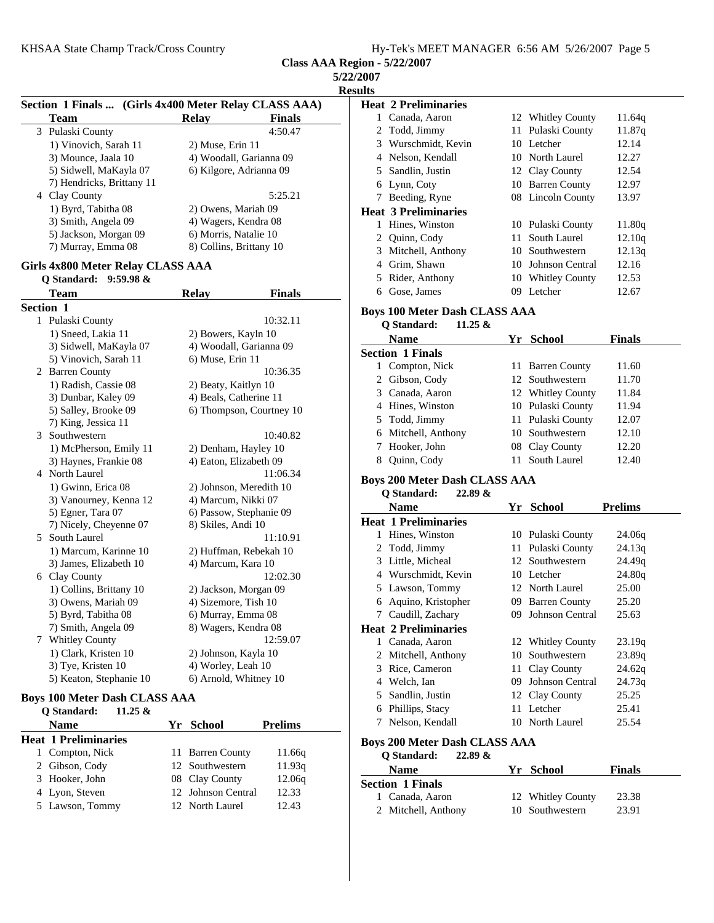| <b>5/22/2007</b> |  |  |
|------------------|--|--|
|                  |  |  |

| Section 1 Finals  (Girls 4x400 Meter Relay CLASS AAA) |                                                          |                         |                          |  |
|-------------------------------------------------------|----------------------------------------------------------|-------------------------|--------------------------|--|
|                                                       | T <u>eam</u>                                             | <b>Relay</b>            | Finals                   |  |
| 3                                                     | Pulaski County                                           |                         | 4:50.47                  |  |
|                                                       | 1) Vinovich, Sarah 11                                    | 2) Muse, Erin 11        |                          |  |
|                                                       | 3) Mounce, Jaala 10                                      | 4) Woodall, Garianna 09 |                          |  |
|                                                       | 5) Sidwell, MaKayla 07                                   | 6) Kilgore, Adrianna 09 |                          |  |
| 4                                                     | 7) Hendricks, Brittany 11<br>Clay County                 |                         | 5:25.21                  |  |
|                                                       | 1) Byrd, Tabitha 08                                      | 2) Owens, Mariah 09     |                          |  |
|                                                       | 3) Smith, Angela 09                                      | 4) Wagers, Kendra 08    |                          |  |
|                                                       | 5) Jackson, Morgan 09                                    | 6) Morris, Natalie 10   |                          |  |
|                                                       | 7) Murray, Emma 08                                       | 8) Collins, Brittany 10 |                          |  |
|                                                       | <b>Girls 4x800 Meter Relay CLASS AAA</b><br>$9:59.98 \&$ |                         |                          |  |
|                                                       | Q Standard:<br>Team                                      | <b>Relay</b>            | Finals                   |  |
|                                                       | <b>Section 1</b>                                         |                         |                          |  |
| 1                                                     | Pulaski County                                           |                         | 10:32.11                 |  |
|                                                       | 1) Sneed, Lakia 11                                       | 2) Bowers, Kayln 10     |                          |  |
|                                                       | 3) Sidwell, MaKayla 07                                   | 4) Woodall, Garianna 09 |                          |  |
|                                                       | 5) Vinovich, Sarah 11                                    | 6) Muse, Erin 11        |                          |  |
| 2                                                     | <b>Barren County</b>                                     |                         | 10:36.35                 |  |
|                                                       | 1) Radish, Cassie 08                                     | 2) Beaty, Kaitlyn 10    |                          |  |
|                                                       | 3) Dunbar, Kaley 09                                      | 4) Beals, Catherine 11  |                          |  |
|                                                       | 5) Salley, Brooke 09                                     |                         | 6) Thompson, Courtney 10 |  |
|                                                       | 7) King, Jessica 11                                      |                         |                          |  |
| 3                                                     | Southwestern                                             |                         | 10:40.82                 |  |
|                                                       | 1) McPherson, Emily 11                                   | 2) Denham, Hayley 10    |                          |  |
|                                                       | 3) Haynes, Frankie 08                                    | 4) Eaton, Elizabeth 09  |                          |  |
|                                                       | 4 North Laurel                                           |                         | 11:06.34                 |  |
|                                                       | 1) Gwinn, Erica 08                                       | 2) Johnson, Meredith 10 |                          |  |
|                                                       | 3) Vanourney, Kenna 12                                   | 4) Marcum, Nikki 07     |                          |  |
|                                                       | 5) Egner, Tara 07                                        | 6) Passow, Stephanie 09 |                          |  |
|                                                       | 7) Nicely, Cheyenne 07                                   | 8) Skiles, Andi 10      |                          |  |
| 5                                                     | South Laurel                                             |                         | 11:10.91                 |  |
|                                                       | 1) Marcum, Karinne 10                                    | 2) Huffman, Rebekah 10  |                          |  |
|                                                       | 3) James, Elizabeth 10                                   | 4) Marcum, Kara 10      |                          |  |
| 6                                                     | Clay County                                              |                         | 12:02.30                 |  |
|                                                       | 1) Collins, Brittany 10                                  | 2) Jackson, Morgan 09   |                          |  |
|                                                       | 3) Owens, Mariah 09                                      | 4) Sizemore, Tish 10    |                          |  |
|                                                       | 5) Byrd, Tabitha 08                                      | 6) Murray, Emma 08      |                          |  |
|                                                       | 7) Smith, Angela 09                                      | 8) Wagers, Kendra 08    |                          |  |
| 7                                                     | Whitley County                                           |                         | 12:59.07                 |  |
|                                                       | 1) Clark, Kristen 10                                     | 2) Johnson, Kayla 10    |                          |  |
|                                                       | 3) Tye, Kristen 10                                       | 4) Worley, Leah 10      |                          |  |
|                                                       | 5) Keaton, Stephanie 10                                  | 6) Arnold, Whitney 10   |                          |  |

#### **Boys 100 Meter Dash CLASS AAA**

| 11.25 $\&$<br>Q Standard:   |                    |                |
|-----------------------------|--------------------|----------------|
| <b>Name</b>                 | Yr School          | <b>Prelims</b> |
| <b>Heat 1 Preliminaries</b> |                    |                |
| 1 Compton, Nick             | 11 Barren County   | 11.66g         |
| 2 Gibson, Cody              | 12 Southwestern    | 11.93q         |
| 3 Hooker, John              | 08 Clay County     | 12.06q         |
| 4 Lyon, Steven              | 12 Johnson Central | 12.33          |
| 5 Lawson, Tommy             | 12 North Laurel    | 12.43          |

**Results Heat 2 Preliminaries** 1 Canada, Aaron 12 Whitley County 11.64q 2 Todd, Jimmy 11 Pulaski County 11.87q 3 Wurschmidt, Kevin 10 Letcher 12.14 4 Nelson, Kendall 10 North Laurel 12.27 5 Sandlin, Justin 12 Clay County 12.54 6 12.97 Lynn, Coty 10 Barren County 7 Beeding, Ryne 08 Lincoln County 13.97 **Heat 3 Preliminaries** 1 Hines, Winston 10 Pulaski County 11.80q 2 Quinn, Cody 11 South Laurel 12.10q 3 Mitchell, Anthony 10 Southwestern 12.13q 4 Grim, Shawn 10 Johnson Central 12.16 5 Rider, Anthony 10 Whitley County 12.53 6 12.67 Gose, James 09 Letcher **Boys 100 Meter Dash CLASS AAA Q Standard: 11.25 & Name Finals Property Property Property Property Property Property Property Property Property Property Property Property Property Property Property Property Property Property Propert Section 1 Finals** 1 Compton, Nick 11 Barren County 11.60 2 Gibson, Cody 12 Southwestern 11.70 3 Canada, Aaron 12 Whitley County 11.84 4 Hines, Winston 10 Pulaski County 11.94 5 Todd, Jimmy 11 Pulaski County 12.07 6 12.10 Mitchell, Anthony 10 Southwestern 7 Hooker, John 08 Clay County 12.20 8 Quinn, Cody 11 South Laurel 12.40 **Boys 200 Meter Dash CLASS AAA Q Standard: 22.89 & Name Prelims Prelims Heat 1 Preliminaries** 10 Pulaski County 24.06q 2 Todd, Jimmy 11 Pulaski County 24.13q 3 Little, Micheal 12 Southwestern 24.49q 4 Wurschmidt, Kevin 10 Letcher 24.80q 5 Lawson, Tommy 12 North Laurel 25.00 6 25.20 Aquino, Kristopher 09 Barren County 7 Caudill, Zachary 09 Johnson Central 25.63 **Heat 2 Preliminaries** 1 Canada, Aaron 12 Whitley County 23.19q 2 Mitchell, Anthony 10 Southwestern 23.89q 3 Rice, Cameron 11 Clay County 24.62q 4 24.73q Welch, Ian 09 Johnson Central 5 Sandlin, Justin 12 Clay County 25.25 6 25.41 Phillips, Stacy 11 Letcher 7 Nelson, Kendall 10 North Laurel 25.54

#### **Boys 200 Meter Dash CLASS AAA**

**Q Standard: 22.89 & Name Finals Property Property Property Property Property Property Property Property Property Property Property Property Property Property Property Property Property Property Propert Section 1 Finals** 1 Canada, Aaron 12 Whitley County 23.38 2 Mitchell, Anthony 10 Southwestern 23.91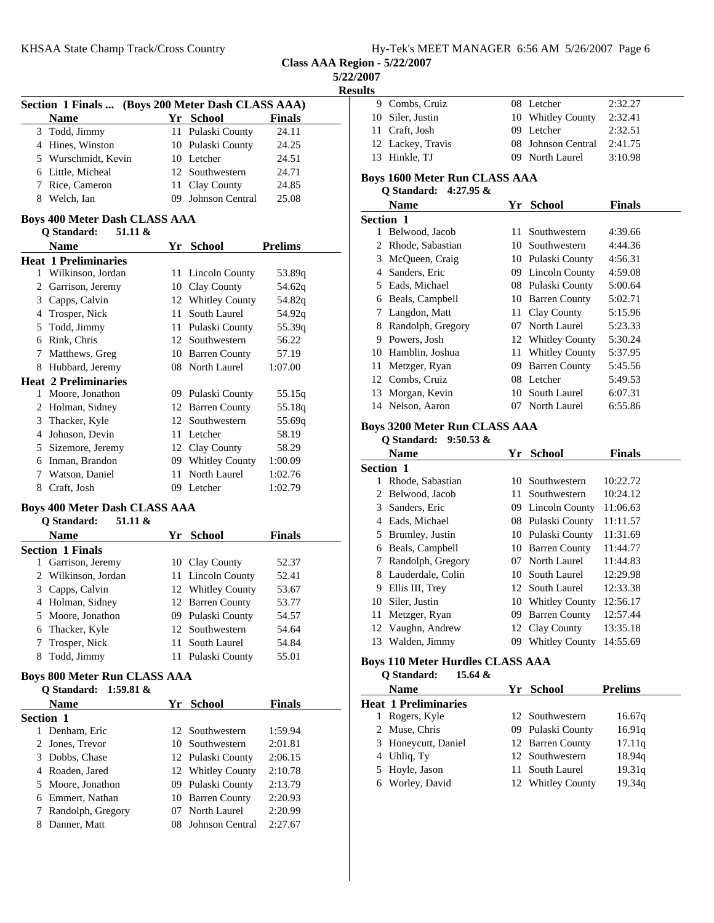**Class AAA Region - 5/22/2007**

**5/22/2007**

| <b>sesults</b><br>к |
|---------------------|
|---------------------|

|                                     | Section 1 Finals  (Boys 200 Meter Dash CLASS AAA) |      |                        |                |  |
|-------------------------------------|---------------------------------------------------|------|------------------------|----------------|--|
|                                     | <b>Name</b>                                       |      | Yr School              | <b>Finals</b>  |  |
|                                     | 3 Todd, Jimmy                                     | 11-  | Pulaski County         | 24.11          |  |
|                                     | 4 Hines, Winston                                  |      | 10 Pulaski County      | 24.25          |  |
|                                     | 5 Wurschmidt, Kevin                               |      | 10 Letcher             | 24.51          |  |
|                                     | 6 Little, Micheal                                 |      | 12 Southwestern        | 24.71          |  |
|                                     | 7 Rice, Cameron                                   | 11   | Clay County            | 24.85          |  |
|                                     | 8 Welch, Ian                                      | 09   | <b>Johnson Central</b> | 25.08          |  |
|                                     | <b>Boys 400 Meter Dash CLASS AAA</b>              |      |                        |                |  |
|                                     | <b>Q</b> Standard:<br>51.11 &                     |      |                        |                |  |
|                                     | <b>Name</b>                                       | Yr   | <b>School</b>          | <b>Prelims</b> |  |
|                                     | <b>Heat 1 Preliminaries</b>                       |      |                        |                |  |
|                                     | 1 Wilkinson, Jordan                               |      | 11 Lincoln County      | 53.89q         |  |
|                                     | 2 Garrison, Jeremy                                |      | 10 Clay County         | 54.62q         |  |
|                                     | 3 Capps, Calvin                                   |      | 12 Whitley County      | 54.82q         |  |
|                                     | 4 Trosper, Nick                                   | 11 - | South Laurel           | 54.92q         |  |
| 5                                   | Todd, Jimmy                                       |      | 11 Pulaski County      | 55.39q         |  |
|                                     | 6 Rink, Chris                                     |      | 12 Southwestern        | 56.22          |  |
|                                     | 7 Matthews, Greg                                  |      | 10 Barren County       | 57.19          |  |
|                                     | 8 Hubbard, Jeremy                                 |      | 08 North Laurel        | 1:07.00        |  |
|                                     | <b>Heat 2 Preliminaries</b>                       |      |                        |                |  |
|                                     | 1 Moore, Jonathon                                 |      | 09 Pulaski County      | 55.15q         |  |
|                                     | 2 Holman, Sidney                                  |      | 12 Barren County       | 55.18q         |  |
|                                     | 3 Thacker, Kyle                                   |      | 12 Southwestern        | 55.69q         |  |
|                                     | 4 Johnson, Devin                                  |      | 11 Letcher             | 58.19          |  |
|                                     | 5 Sizemore, Jeremy                                |      | 12 Clay County         | 58.29          |  |
|                                     | 6 Inman, Brandon                                  |      | 09 Whitley County      | 1:00.09        |  |
|                                     | 7 Watson, Daniel                                  | 11   | North Laurel           | 1:02.76        |  |
|                                     | 8 Craft, Josh                                     |      | 09 Letcher             | 1:02.79        |  |
|                                     | <b>Boys 400 Meter Dash CLASS AAA</b>              |      |                        |                |  |
|                                     | Q Standard:<br>51.11 &                            |      |                        |                |  |
|                                     | Name                                              |      | Yr School              | Finals         |  |
|                                     | <b>Section 1 Finals</b>                           |      |                        |                |  |
| 1                                   | Garrison, Jeremy                                  |      | 10 Clay County         | 52.37          |  |
|                                     | 2 Wilkinson, Jordan                               |      | 11 Lincoln County      | 52.41          |  |
|                                     | 3 Capps, Calvin                                   |      | 12 Whitley County      | 53.67          |  |
|                                     | 4 Holman, Sidney                                  |      | 12 Barren County       | 53.77          |  |
| 5                                   | Moore, Jonathon                                   |      | 09 Pulaski County      | 54.57          |  |
|                                     | 6 Thacker, Kyle                                   |      | 12 Southwestern        | 54.64          |  |
| 7                                   | Trosper, Nick                                     | 11   | South Laurel           | 54.84          |  |
|                                     | 8 Todd, Jimmy                                     |      | 11 Pulaski County      | 55.01          |  |
| <b>Boys 800 Meter Run CLASS AAA</b> |                                                   |      |                        |                |  |
| Q Standard: 1:59.81 &               |                                                   |      |                        |                |  |
|                                     | <b>Name</b>                                       |      | Yr School              | <b>Finals</b>  |  |
| Section 1                           |                                                   |      |                        |                |  |
|                                     | 1 Denham, Eric                                    |      | 12 Southwestern        | 1:59.94        |  |

2 Jones, Trevor 10 Southwestern 2:01.81 3 Dobbs, Chase 12 Pulaski County 2:06.15 4 Roaden, Jared 12 Whitley County 2:10.78 5 Moore, Jonathon 09 Pulaski County 2:13.79 6 2:20.93 Emmert, Nathan 10 Barren County 7 Randolph, Gregory 07 North Laurel 2:20.99 8 Danner, Matt 08 Johnson Central 2:27.67

| 9  | Combs, Cruiz                  |     | 08 Letcher           | 2:32.27       |  |
|----|-------------------------------|-----|----------------------|---------------|--|
| 10 | Siler, Justin                 |     | 10 Whitley County    | 2:32.41       |  |
| 11 | Craft, Josh                   | 09  | Letcher              | 2:32.51       |  |
|    | 12 Lackey, Travis             | 08. | Johnson Central      | 2:41.75       |  |
|    | 13 Hinkle, TJ                 | 09. | North Laurel         | 3:10.98       |  |
|    | Boys 1600 Meter Run CLASS AAA |     |                      |               |  |
|    | O Standard: $4:27.95 \&$      |     |                      |               |  |
|    | Name                          | Yr  | <b>School</b>        | <b>Finals</b> |  |
|    | <b>Section 1</b>              |     |                      |               |  |
| 1  | Belwood, Jacob                | 11  | Southwestern         | 4:39.66       |  |
| 2  | Rhode, Sabastian              | 10  | Southwestern         | 4:44.36       |  |
| 3  | McQueen, Craig                |     | 10 Pulaski County    | 4:56.31       |  |
| 4  | Sanders, Eric                 |     | 09 Lincoln County    | 4:59.08       |  |
| 5  | Eads, Michael                 |     | 08 Pulaski County    | 5:00.64       |  |
| 6  | Beals, Campbell               | 10  | <b>Barren County</b> | 5:02.71       |  |
|    | Langdon, Matt                 | 11- | Clay County          | 5:15.96       |  |
|    |                               |     |                      |               |  |

|           | Name              | Yr. | <b>School</b>         | <b>Finals</b> |
|-----------|-------------------|-----|-----------------------|---------------|
| Section 1 |                   |     |                       |               |
| 1         | Belwood, Jacob    | 11  | Southwestern          | 4:39.66       |
| 2         | Rhode, Sabastian  |     | 10 Southwestern       | 4:44.36       |
| 3         | McQueen, Craig    |     | 10 Pulaski County     | 4:56.31       |
| 4         | Sanders, Eric     |     | 09 Lincoln County     | 4:59.08       |
| 5         | Eads, Michael     |     | 08 Pulaski County     | 5:00.64       |
| 6         | Beals, Campbell   |     | 10 Barren County      | 5:02.71       |
| 7         | Langdon, Matt     |     | 11 Clay County        | 5:15.96       |
| 8         | Randolph, Gregory |     | 07 North Laurel       | 5:23.33       |
| 9         | Powers, Josh      |     | 12 Whitley County     | 5:30.24       |
| 10        | Hamblin, Joshua   | 11- | <b>Whitley County</b> | 5:37.95       |
| 11        | Metzger, Ryan     | 09  | <b>Barren County</b>  | 5:45.56       |
| 12        | Combs, Cruiz      |     | 08 Letcher            | 5:49.53       |
| 13        | Morgan, Kevin     | 10  | South Laurel          | 6:07.31       |
| 14        | Nelson, Aaron     | 07  | North Laurel          | 6:55.86       |
|           |                   |     |                       |               |

# **Boys 3200 Meter Run CLASS AAA**

**Q Standard: 9:50.53 &**

|    | Name              | Yr  | School                | <b>Finals</b> |
|----|-------------------|-----|-----------------------|---------------|
|    | <b>Section 1</b>  |     |                       |               |
|    | Rhode, Sabastian  |     | 10 Southwestern       | 10:22.72      |
| 2  | Belwood, Jacob    | 11. | Southwestern          | 10:24.12      |
| 3  | Sanders, Eric     |     | 09 Lincoln County     | 11:06.63      |
| 4  | Eads, Michael     |     | 08 Pulaski County     | 11:11.57      |
| 5  | Brumley, Justin   |     | 10 Pulaski County     | 11:31.69      |
| 6  | Beals, Campbell   |     | 10 Barren County      | 11:44.77      |
|    | Randolph, Gregory |     | 07 North Laurel       | 11:44.83      |
| 8  | Lauderdale, Colin | 10. | South Laurel          | 12:29.98      |
| 9  | Ellis III, Trey   |     | 12 South Laurel       | 12:33.38      |
| 10 | Siler, Justin     |     | 10 Whitley County     | 12:56.17      |
| 11 | Metzger, Ryan     | 09  | <b>Barren County</b>  | 12:57.44      |
|    | 12 Vaughn, Andrew |     | 12 Clay County        | 13:35.18      |
| 13 | Walden, Jimmy     | 09  | <b>Whitley County</b> | 14:55.69      |
|    |                   |     |                       |               |

#### **Boys 110 Meter Hurdles CLASS AAA**

| 15.64 $\&$<br><b>Q</b> Standard: |                   |                |
|----------------------------------|-------------------|----------------|
| <b>Name</b>                      | Yr School         | <b>Prelims</b> |
| <b>Heat 1 Preliminaries</b>      |                   |                |
| Rogers, Kyle                     | 12 Southwestern   | 16.67q         |
| 2 Muse, Chris                    | 09 Pulaski County | 16.91q         |
| 3 Honeycutt, Daniel              | 12 Barren County  | 17.11q         |
| 4 Uhlig, Ty                      | 12 Southwestern   | 18.94g         |
| 5 Hoyle, Jason                   | 11 South Laurel   | 19.31q         |
| 6 Worley, David                  | 12 Whitley County | 19.34g         |
|                                  |                   |                |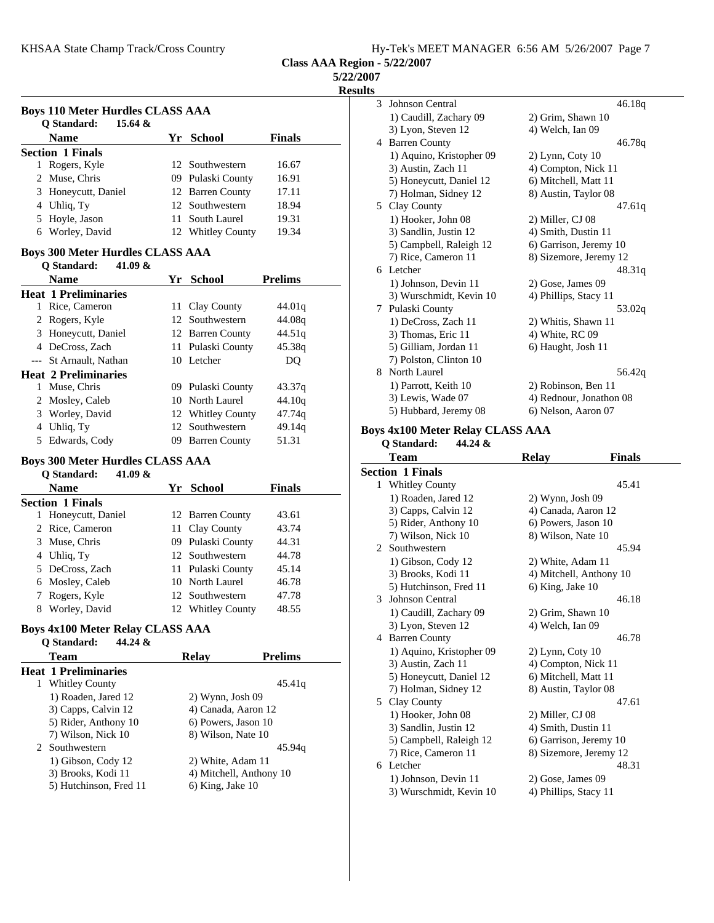**5/22/2007**

**Results**

| <b>Boys 110 Meter Hurdles CLASS AAA</b><br>Q Standard:<br>15.64 & |                                                                      |    |                         |                |
|-------------------------------------------------------------------|----------------------------------------------------------------------|----|-------------------------|----------------|
|                                                                   | <b>Name</b>                                                          |    | Yr School               | <b>Finals</b>  |
|                                                                   | <b>Section 1 Finals</b>                                              |    |                         |                |
|                                                                   | 1 Rogers, Kyle                                                       |    | 12 Southwestern         | 16.67          |
|                                                                   | 2 Muse, Chris                                                        |    | 09 Pulaski County       | 16.91          |
|                                                                   | 3 Honeycutt, Daniel                                                  |    | 12 Barren County        | 17.11          |
|                                                                   | 4 Uhliq, Ty                                                          |    | 12 Southwestern         | 18.94          |
|                                                                   | 5 Hoyle, Jason                                                       |    | 11 South Laurel         | 19.31          |
|                                                                   | 6 Worley, David                                                      |    | 12 Whitley County       | 19.34          |
|                                                                   |                                                                      |    |                         |                |
|                                                                   | <b>Boys 300 Meter Hurdles CLASS AAA</b>                              |    |                         |                |
|                                                                   | O Standard:<br>41.09 $\&$                                            |    |                         |                |
|                                                                   | Name                                                                 |    | Yr School               | <b>Prelims</b> |
|                                                                   | <b>Heat 1 Preliminaries</b>                                          |    |                         |                |
|                                                                   | 1 Rice, Cameron                                                      |    | 11 Clay County          | 44.01q         |
|                                                                   | 2 Rogers, Kyle                                                       |    | 12 Southwestern         | 44.08g         |
|                                                                   | 3 Honeycutt, Daniel                                                  |    | 12 Barren County        | 44.51q         |
|                                                                   | 4 DeCross, Zach                                                      |    | 11 Pulaski County       | 45.38q         |
|                                                                   | --- St Arnault, Nathan                                               |    | 10 Letcher              | DQ             |
|                                                                   | <b>Heat 2 Preliminaries</b>                                          |    |                         |                |
|                                                                   | 1 Muse, Chris                                                        |    | 09 Pulaski County       | 43.37q         |
|                                                                   | 2 Mosley, Caleb                                                      |    | 10 North Laurel         | 44.10q         |
|                                                                   | 3 Worley, David                                                      |    | 12 Whitley County       | 47.74q         |
|                                                                   | 4 Uhliq, Ty                                                          | 12 | Southwestern            | 49.14q         |
|                                                                   | 5 Edwards, Cody                                                      |    | 09 Barren County        | 51.31          |
|                                                                   | <b>Boys 300 Meter Hurdles CLASS AAA</b><br>O Standard:<br>41.09 $\&$ |    |                         |                |
|                                                                   | <b>Name</b>                                                          |    | Yr School               | <b>Finals</b>  |
|                                                                   | <b>Section 1 Finals</b>                                              |    |                         |                |
| 1                                                                 | Honeycutt, Daniel                                                    |    | 12 Barren County        | 43.61          |
|                                                                   | 2 Rice, Cameron                                                      |    | 11 Clay County          | 43.74          |
|                                                                   | 3 Muse, Chris                                                        |    | 09 Pulaski County       | 44.31          |
|                                                                   | 4 Uhliq, Ty                                                          |    | 12 Southwestern         | 44.78          |
|                                                                   | 5 DeCross, Zach                                                      |    | 11 Pulaski County       | 45.14          |
|                                                                   | 6 Mosley, Caleb                                                      |    | 10 North Laurel         | 46.78          |
| 7                                                                 | Rogers, Kyle                                                         |    | 12 Southwestern         | 47.78          |
|                                                                   | 8 Worley, David                                                      |    | 12 Whitley County       | 48.55          |
|                                                                   |                                                                      |    |                         |                |
|                                                                   | <b>Boys 4x100 Meter Relay CLASS AAA</b>                              |    |                         |                |
|                                                                   | <b>Q</b> Standard:<br>44.24 &                                        |    |                         |                |
|                                                                   | <b>Team</b>                                                          |    | Relay                   | <b>Prelims</b> |
|                                                                   | <b>Heat 1 Preliminaries</b><br>1 Whitley County                      |    |                         | 45.41q         |
|                                                                   | 1) Roaden, Jared 12                                                  |    | $2)$ Wynn, Josh 09      |                |
|                                                                   | 3) Capps, Calvin 12                                                  |    | 4) Canada, Aaron 12     |                |
|                                                                   | 5) Rider, Anthony 10                                                 |    | 6) Powers, Jason 10     |                |
|                                                                   | 7) Wilson, Nick 10                                                   |    | 8) Wilson, Nate 10      |                |
|                                                                   | 2 Southwestern                                                       |    |                         | 45.94q         |
|                                                                   | 1) Gibson, Cody 12                                                   |    | 2) White, Adam 11       |                |
|                                                                   | 3) Brooks, Kodi 11                                                   |    | 4) Mitchell, Anthony 10 |                |
|                                                                   | 5) Hutchinson, Fred 11                                               |    | 6) King, Jake 10        |                |
|                                                                   |                                                                      |    |                         |                |

| 3 | Johnson Central                    | 46.18q                  |
|---|------------------------------------|-------------------------|
|   | 1) Caudill, Zachary 09             | 2) Grim, Shawn 10       |
|   | 3) Lyon, Steven 12                 | 4) Welch, Ian 09        |
| 4 | <b>Barren County</b>               | 46.78q                  |
|   | 1) Aquino, Kristopher 09           | $2)$ Lynn, Coty 10      |
|   | 3) Austin, Zach 11                 | 4) Compton, Nick 11     |
|   | 5) Honeycutt, Daniel 12            | 6) Mitchell, Matt 11    |
|   | 7) Holman, Sidney 12               | 8) Austin, Taylor 08    |
|   | 5 Clay County                      | 47.61q                  |
|   | 1) Hooker, John 08                 | 2) Miller, CJ 08        |
|   | 3) Sandlin, Justin 12              | 4) Smith, Dustin 11     |
|   | 5) Campbell, Raleigh 12            | 6) Garrison, Jeremy 10  |
|   | 7) Rice, Cameron 11                | 8) Sizemore, Jeremy 12  |
|   | 6 Letcher                          | 48.31q                  |
|   | 1) Johnson, Devin 11               | 2) Gose, James 09       |
|   | 3) Wurschmidt, Kevin 10            | 4) Phillips, Stacy 11   |
| 7 | Pulaski County                     | 53.02g                  |
|   | 1) DeCross, Zach 11                | 2) Whitis, Shawn 11     |
|   | 3) Thomas, Eric 11                 | 4) White, RC 09         |
|   | 5) Gilliam, Jordan 11              | 6) Haught, Josh 11      |
|   | 7) Polston, Clinton 10             |                         |
|   | 8 North Laurel                     | 56.42g                  |
|   | 1) Parrott, Keith 10               | 2) Robinson, Ben 11     |
|   | 3) Lewis, Wade 07                  | 4) Rednour, Jonathon 08 |
|   | 5) Hubbard, Jeremy 08              | 6) Nelson, Aaron 07     |
|   | $\sim$ 4-100 Meter Delay CLACC AAA |                         |

#### **Boys 4x100 Meter Relay CLASS AAA**

| 44.24 &<br>Q Standard: |                          |                         |               |  |
|------------------------|--------------------------|-------------------------|---------------|--|
|                        | Team                     | <b>Relay</b>            | <b>Finals</b> |  |
|                        | <b>Section 1 Finals</b>  |                         |               |  |
| 1                      | <b>Whitley County</b>    |                         | 45.41         |  |
|                        | 1) Roaden, Jared 12      | $2)$ Wynn, Josh 09      |               |  |
|                        | 3) Capps, Calvin 12      | 4) Canada, Aaron 12     |               |  |
|                        | 5) Rider, Anthony 10     | 6) Powers, Jason 10     |               |  |
|                        | 7) Wilson, Nick 10       | 8) Wilson, Nate 10      |               |  |
| $\mathfrak{D}$         | Southwestern             |                         | 45.94         |  |
|                        | 1) Gibson, Cody 12       | 2) White, Adam 11       |               |  |
|                        | 3) Brooks, Kodi 11       | 4) Mitchell, Anthony 10 |               |  |
|                        | 5) Hutchinson, Fred 11   | 6) King, Jake 10        |               |  |
| 3                      | Johnson Central          |                         | 46.18         |  |
|                        | 1) Caudill, Zachary 09   | 2) Grim, Shawn 10       |               |  |
|                        | 3) Lyon, Steven 12       | 4) Welch, Ian 09        |               |  |
| 4                      | <b>Barren County</b>     |                         | 46.78         |  |
|                        | 1) Aquino, Kristopher 09 | $2)$ Lynn, Coty 10      |               |  |
|                        | 3) Austin, Zach 11       | 4) Compton, Nick 11     |               |  |
|                        | 5) Honeycutt, Daniel 12  | 6) Mitchell, Matt 11    |               |  |
|                        | 7) Holman, Sidney 12     | 8) Austin, Taylor 08    |               |  |
| 5.                     | Clay County              |                         | 47.61         |  |
|                        | 1) Hooker, John 08       | 2) Miller, CJ 08        |               |  |
|                        | 3) Sandlin, Justin 12    | 4) Smith, Dustin 11     |               |  |
|                        | 5) Campbell, Raleigh 12  | 6) Garrison, Jeremy 10  |               |  |
|                        | 7) Rice, Cameron 11      | 8) Sizemore, Jeremy 12  |               |  |
|                        | 6 Letcher                |                         | 48.31         |  |
|                        | 1) Johnson, Devin 11     | 2) Gose, James 09       |               |  |
|                        | 3) Wurschmidt, Kevin 10  | 4) Phillips, Stacy 11   |               |  |
|                        |                          |                         |               |  |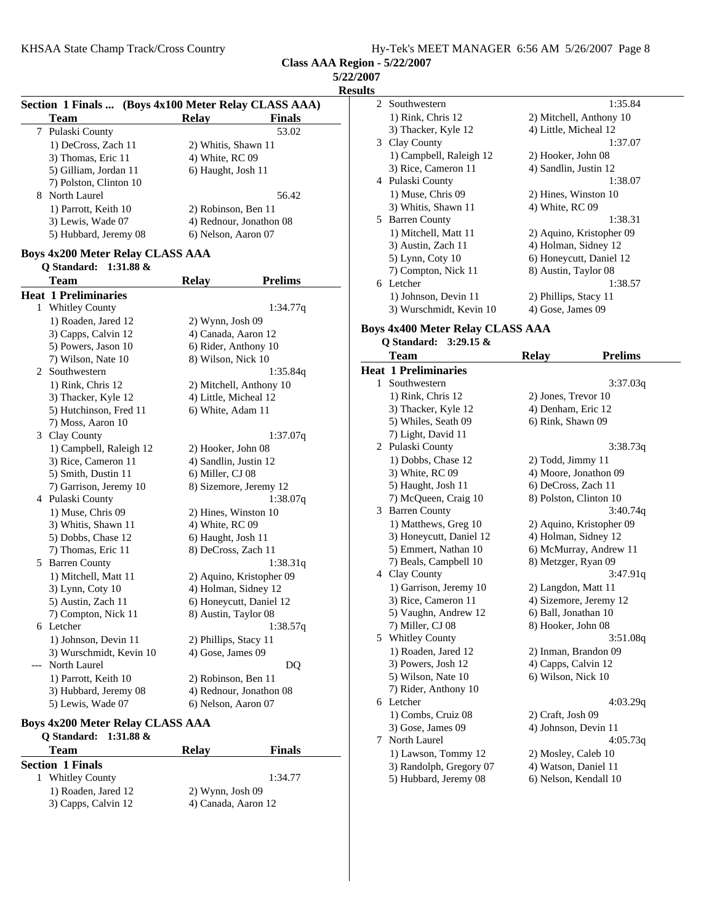|  | Hy-Tek's MEET MANAGER 6:56 AM 5/26/2007 Page 8 |  |  |
|--|------------------------------------------------|--|--|
|  |                                                |  |  |

**Class AAA Region - 5/22/2007**

| ı<br>н |
|--------|
|--------|

|   | Section 1 Finals  (Boys 4x100 Meter Relay CLASS AAA) |                         |                          |
|---|------------------------------------------------------|-------------------------|--------------------------|
| 7 | <b>Team</b><br>Pulaski County                        | Relay                   | <b>Finals</b><br>53.02   |
|   |                                                      |                         |                          |
|   | 1) DeCross, Zach 11                                  | 2) Whitis, Shawn 11     |                          |
|   | 3) Thomas, Eric 11                                   | 4) White, RC 09         |                          |
|   | 5) Gilliam, Jordan 11                                | 6) Haught, Josh 11      |                          |
|   | 7) Polston, Clinton 10                               |                         |                          |
| 8 | North Laurel                                         |                         | 56.42                    |
|   | 1) Parrott, Keith 10                                 | 2) Robinson, Ben 11     |                          |
|   | 3) Lewis, Wade 07                                    |                         | 4) Rednour, Jonathon 08  |
|   | 5) Hubbard, Jeremy 08                                | 6) Nelson, Aaron 07     |                          |
|   | <b>Boys 4x200 Meter Relay CLASS AAA</b>              |                         |                          |
|   | Q Standard:<br>$1:31.88 \&$                          |                         |                          |
|   | Team                                                 | <b>Relay</b>            | <b>Prelims</b>           |
|   | <b>Heat 1 Preliminaries</b>                          |                         |                          |
| 1 | <b>Whitley County</b>                                |                         | 1:34.77q                 |
|   | 1) Roaden, Jared 12                                  | 2) Wynn, Josh 09        |                          |
|   | 3) Capps, Calvin 12                                  | 4) Canada, Aaron 12     |                          |
|   | 5) Powers, Jason 10                                  | 6) Rider, Anthony 10    |                          |
|   | 7) Wilson, Nate 10                                   | 8) Wilson, Nick 10      |                          |
| 2 | Southwestern                                         |                         | 1:35.84q                 |
|   | 1) Rink, Chris 12                                    |                         | 2) Mitchell, Anthony 10  |
|   | 3) Thacker, Kyle 12                                  | 4) Little, Micheal 12   |                          |
|   | 5) Hutchinson, Fred 11                               | 6) White, Adam 11       |                          |
|   | 7) Moss, Aaron 10                                    |                         |                          |
| 3 | Clay County                                          |                         | 1:37.07q                 |
|   | 1) Campbell, Raleigh 12                              | 2) Hooker, John 08      |                          |
|   | 3) Rice, Cameron 11                                  | 4) Sandlin, Justin 12   |                          |
|   | 5) Smith, Dustin 11                                  | 6) Miller, CJ 08        |                          |
|   | 7) Garrison, Jeremy 10                               | 8) Sizemore, Jeremy 12  |                          |
|   | 4 Pulaski County                                     |                         | 1:38.07q                 |
|   | 1) Muse, Chris 09                                    | 2) Hines, Winston 10    |                          |
|   | 3) Whitis, Shawn 11                                  | 4) White, RC 09         |                          |
|   | 5) Dobbs, Chase 12                                   | 6) Haught, Josh 11      |                          |
|   | 7) Thomas, Eric 11                                   | 8) DeCross, Zach 11     |                          |
| 5 | <b>Barren County</b>                                 |                         | 1:38.31q                 |
|   | 1) Mitchell, Matt 11                                 |                         | 2) Aquino, Kristopher 09 |
|   | 3) Lynn, Coty 10                                     | 4) Holman, Sidney 12    |                          |
|   | 5) Austin, Zach 11                                   | 6) Honeycutt, Daniel 12 |                          |
|   | 7) Compton, Nick 11                                  | 8) Austin, Taylor 08    |                          |
| 6 | Letcher                                              |                         | 1:38.57q                 |
|   | 1) Johnson, Devin 11                                 | 2) Phillips, Stacy 11   |                          |
|   | 3) Wurschmidt, Kevin 10                              | 4) Gose, James 09       |                          |
|   | North Laurel                                         |                         | DQ                       |
|   |                                                      |                         |                          |
|   | 1) Parrott, Keith 10                                 | 2) Robinson, Ben 11     | 4) Rednour, Jonathon 08  |
|   | 3) Hubbard, Jeremy 08<br>5) Lewis, Wade 07           | 6) Nelson, Aaron 07     |                          |
|   |                                                      |                         |                          |

# **Boys 4x200 Meter Relay CLASS AAA**

| O Standard: $1:31.88 \&$ |                     |               |
|--------------------------|---------------------|---------------|
| <b>Team</b>              | Relav               | <b>Finals</b> |
| <b>Section 1 Finals</b>  |                     |               |
| 1 Whitley County         |                     | 1:34.77       |
| 1) Roaden, Jared 12      | $2)$ Wynn, Josh 09  |               |
| 3) Capps, Calvin 12      | 4) Canada, Aaron 12 |               |

|                         | 1:35.84                                           |
|-------------------------|---------------------------------------------------|
| 1) Rink, Chris 12       | 2) Mitchell, Anthony 10                           |
| 3) Thacker, Kyle 12     | 4) Little, Micheal 12                             |
|                         | 1:37.07                                           |
| 1) Campbell, Raleigh 12 | 2) Hooker, John 08                                |
| 3) Rice, Cameron 11     | 4) Sandlin, Justin 12                             |
| Pulaski County          | 1:38.07                                           |
| 1) Muse, Chris 09       | 2) Hines, Winston 10                              |
| 3) Whitis, Shawn 11     | 4) White, RC 09                                   |
| <b>Barren County</b>    | 1:38.31                                           |
| 1) Mitchell, Matt 11    | 2) Aquino, Kristopher 09                          |
| 3) Austin, Zach 11      | 4) Holman, Sidney 12                              |
| $5)$ Lynn, Coty 10      | 6) Honeycutt, Daniel 12                           |
| 7) Compton, Nick 11     | 8) Austin, Taylor 08                              |
|                         | 1:38.57                                           |
| 1) Johnson, Devin 11    | 2) Phillips, Stacy 11                             |
| 3) Wurschmidt, Kevin 10 | 4) Gose, James 09                                 |
|                         | 2 Southwestern<br>3 Clay County<br>4<br>6 Letcher |

#### **Boys 4x400 Meter Relay CLASS AAA Q Standard: 3:29.15 &**

|   | Team                        | <b>Relay</b>             | <b>Prelims</b> |
|---|-----------------------------|--------------------------|----------------|
|   | <b>Heat 1 Preliminaries</b> |                          |                |
| 1 | Southwestern                |                          | 3:37.03q       |
|   | 1) Rink, Chris 12           | 2) Jones, Trevor 10      |                |
|   | 3) Thacker, Kyle 12         | 4) Denham, Eric 12       |                |
|   | 5) Whiles, Seath 09         | 6) Rink, Shawn 09        |                |
|   | 7) Light, David 11          |                          |                |
|   | 2 Pulaski County            |                          | 3:38.73q       |
|   | 1) Dobbs, Chase 12          | $2)$ Todd, Jimmy 11      |                |
|   | 3) White, RC 09             | 4) Moore, Jonathon 09    |                |
|   | 5) Haught, Josh 11          | 6) DeCross, Zach 11      |                |
|   | 7) McQueen, Craig 10        | 8) Polston, Clinton 10   |                |
|   | 3 Barren County             |                          | 3:40.74q       |
|   | 1) Matthews, Greg 10        | 2) Aquino, Kristopher 09 |                |
|   | 3) Honeycutt, Daniel 12     | 4) Holman, Sidney 12     |                |
|   | 5) Emmert, Nathan 10        | 6) McMurray, Andrew 11   |                |
|   | 7) Beals, Campbell 10       | 8) Metzger, Ryan 09      |                |
|   | 4 Clay County               |                          | 3:47.91q       |
|   | 1) Garrison, Jeremy 10      | 2) Langdon, Matt 11      |                |
|   | 3) Rice, Cameron 11         | 4) Sizemore, Jeremy 12   |                |
|   | 5) Vaughn, Andrew 12        | 6) Ball, Jonathan 10     |                |
|   | 7) Miller, CJ 08            | 8) Hooker, John 08       |                |
|   | 5 Whitley County            |                          | 3:51.08q       |
|   | 1) Roaden, Jared 12         | 2) Inman, Brandon 09     |                |
|   | 3) Powers, Josh 12          | 4) Capps, Calvin 12      |                |
|   | 5) Wilson, Nate 10          | 6) Wilson, Nick 10       |                |
|   | 7) Rider, Anthony 10        |                          |                |
|   | 6 Letcher                   |                          | 4:03.29q       |
|   | 1) Combs, Cruiz 08          | 2) Craft, Josh 09        |                |
|   | 3) Gose, James 09           | 4) Johnson, Devin 11     |                |
| 7 | North Laurel                |                          | 4:05.73q       |
|   | 1) Lawson, Tommy 12         | 2) Mosley, Caleb 10      |                |
|   | 3) Randolph, Gregory 07     | 4) Watson, Daniel 11     |                |
|   | 5) Hubbard, Jeremy 08       | 6) Nelson, Kendall 10    |                |